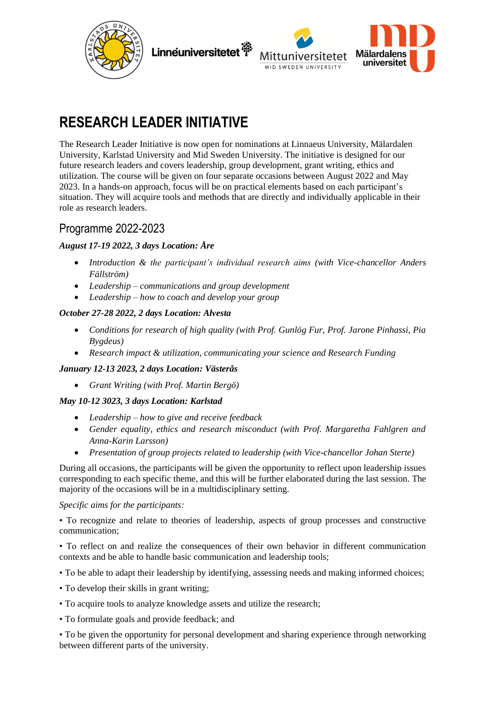



# **RESEARCH LEADER INITIATIVE**

The Research Leader Initiative is now open for nominations at Linnaeus University, Mälardalen University, Karlstad University and Mid Sweden University. The initiative is designed for our future research leaders and covers leadership, group development, grant writing, ethics and utilization. The course will be given on four separate occasions between August 2022 and May 2023. In a hands-on approach, focus will be on practical elements based on each participant's situation. They will acquire tools and methods that are directly and individually applicable in their role as research leaders.

## Programme 2022-2023

#### *August 17-19 2022, 3 days Location: Åre*

- *Introduction & the participant's individual research aims (with Vice-chancellor Anders Fällström)*
- *Leadership – communications and group development*
- *Leadership – how to coach and develop your group*

#### *October 27-28 2022, 2 days Location: Alvesta*

- *Conditions for research of high quality (with Prof. Gunlög Fur, Prof. Jarone Pinhassi, Pia Bygdeus)*
- *Research impact & utilization, communicating your science and Research Funding*

#### *January 12-13 2023, 2 days Location: Västerås*

• *Grant Writing (with Prof. Martin Bergö)*

#### *May 10-12 3023, 3 days Location: Karlstad*

- *Leadership – how to give and receive feedback*
- *Gender equality, ethics and research misconduct (with Prof. Margaretha Fahlgren and Anna-Karin Larsson)*
- *Presentation of group projects related to leadership (with Vice-chancellor Johan Sterte)*

During all occasions, the participants will be given the opportunity to reflect upon leadership issues corresponding to each specific theme, and this will be further elaborated during the last session. The majority of the occasions will be in a multidisciplinary setting.

#### *Specific aims for the participants:*

• To recognize and relate to theories of leadership, aspects of group processes and constructive communication;

• To reflect on and realize the consequences of their own behavior in different communication contexts and be able to handle basic communication and leadership tools;

- To be able to adapt their leadership by identifying, assessing needs and making informed choices;
- To develop their skills in grant writing;
- To acquire tools to analyze knowledge assets and utilize the research;
- To formulate goals and provide feedback; and

• To be given the opportunity for personal development and sharing experience through networking between different parts of the university.